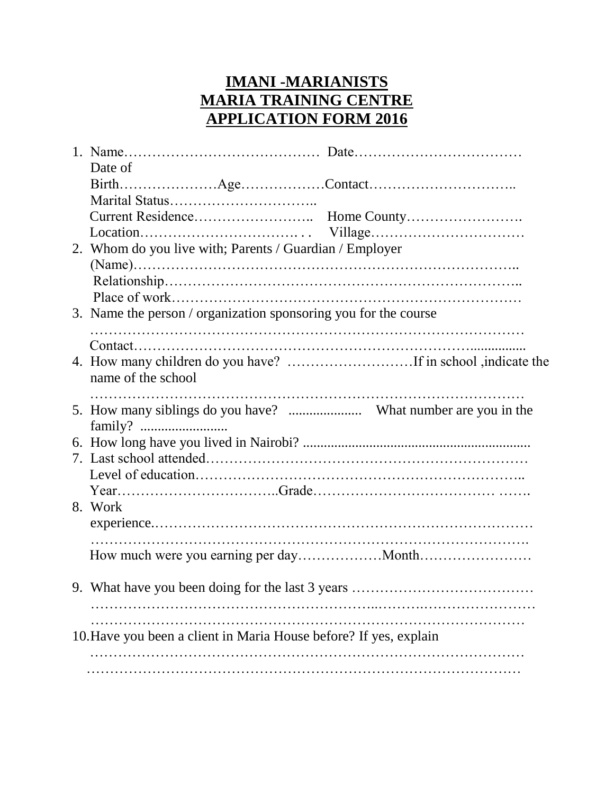## **IMANI -MARIANISTS MARIA TRAINING CENTRE APPLICATION FORM 2016**

| Date of                                                           |  |  |  |  |
|-------------------------------------------------------------------|--|--|--|--|
|                                                                   |  |  |  |  |
|                                                                   |  |  |  |  |
|                                                                   |  |  |  |  |
|                                                                   |  |  |  |  |
| 2. Whom do you live with; Parents / Guardian / Employer           |  |  |  |  |
|                                                                   |  |  |  |  |
|                                                                   |  |  |  |  |
|                                                                   |  |  |  |  |
| 3. Name the person / organization sponsoring you for the course   |  |  |  |  |
|                                                                   |  |  |  |  |
|                                                                   |  |  |  |  |
|                                                                   |  |  |  |  |
| name of the school                                                |  |  |  |  |
|                                                                   |  |  |  |  |
|                                                                   |  |  |  |  |
|                                                                   |  |  |  |  |
|                                                                   |  |  |  |  |
|                                                                   |  |  |  |  |
|                                                                   |  |  |  |  |
|                                                                   |  |  |  |  |
| 8. Work                                                           |  |  |  |  |
|                                                                   |  |  |  |  |
|                                                                   |  |  |  |  |
|                                                                   |  |  |  |  |
|                                                                   |  |  |  |  |
|                                                                   |  |  |  |  |
|                                                                   |  |  |  |  |
|                                                                   |  |  |  |  |
| 10. Have you been a client in Maria House before? If yes, explain |  |  |  |  |
|                                                                   |  |  |  |  |
|                                                                   |  |  |  |  |